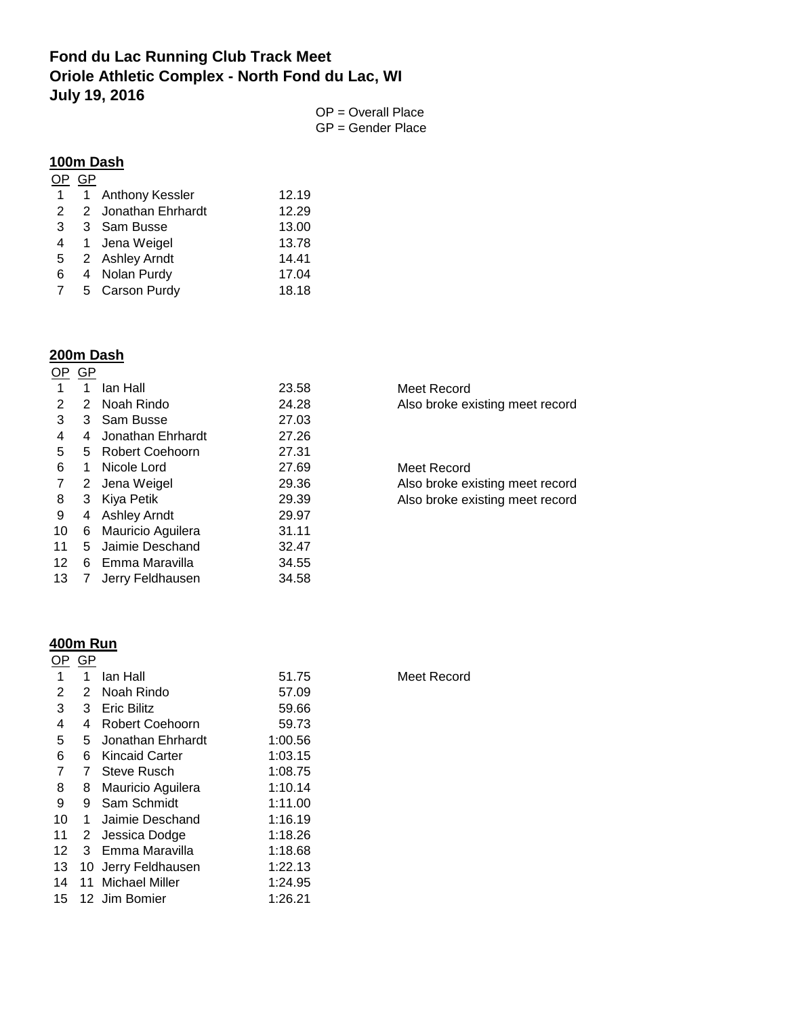# **Fond du Lac Running Club Track Meet Oriole Athletic Complex - North Fond du Lac, WI July 19, 2016**

OP = Overall Place GP = Gender Place

#### **100m Dash**

|                | GP           |                        |       |
|----------------|--------------|------------------------|-------|
| 1              | $\mathbf{1}$ | <b>Anthony Kessler</b> | 12.19 |
| $\overline{2}$ |              | 2 Jonathan Ehrhardt    | 12.29 |
| 3              |              | 3 Sam Busse            | 13.00 |
| 4              |              | 1 Jena Weigel          | 13.78 |
| 5              |              | 2 Ashley Arndt         | 14.41 |
| 6              |              | 4 Nolan Purdy          | 17.04 |
| 7              |              | 5 Carson Purdy         | 18.18 |
|                |              |                        |       |

#### **200m Dash**

|    | GP |                     |       |
|----|----|---------------------|-------|
| 1  | 1  | lan Hall            | 23.58 |
| 2  | 2  | Noah Rindo          | 24.28 |
| 3  | 3  | Sam Busse           | 27.03 |
| 4  | 4  | Jonathan Ehrhardt   | 27.26 |
| 5  | 5  | Robert Coehoorn     | 27.31 |
| 6  | 1  | Nicole Lord         | 27.69 |
| 7  | 2  | Jena Weigel         | 29.36 |
| 8  | 3  | Kiya Petik          | 29.39 |
| 9  | 4  | <b>Ashley Arndt</b> | 29.97 |
| 10 | 6  | Mauricio Aguilera   | 31.11 |
| 11 | 5  | Jaimie Deschand     | 32.47 |
| 12 | 6  | Emma Maravilla      | 34.55 |
| 13 |    | Jerry Feldhausen    | 34.58 |

Meet Record Also broke existing meet record

Meet Record Also broke existing meet record Also broke existing meet record

### **400m Run**

| OΡ             | GP |                       |         |
|----------------|----|-----------------------|---------|
| 1              | 1  | lan Hall              | 51.75   |
| 2              | 2  | Noah Rindo            | 57.09   |
| 3              | 3  | <b>Eric Bilitz</b>    | 59.66   |
| 4              | 4  | Robert Coehoorn       | 59.73   |
| 5              | 5  | Jonathan Ehrhardt     | 1:00.56 |
| 6              | 6  | Kincaid Carter        | 1:03.15 |
| $\overline{7}$ | 7  | Steve Rusch           | 1:08.75 |
| 8              | 8  | Mauricio Aguilera     | 1:10.14 |
| 9              | 9  | Sam Schmidt           | 1:11.00 |
| 10             | 1  | Jaimie Deschand       | 1:16.19 |
| 11             | 2  | Jessica Dodge         | 1:18.26 |
| 12             | 3  | Emma Maravilla        | 1:18.68 |
| 13             | 10 | Jerry Feldhausen      | 1:22.13 |
| 14             | 11 | <b>Michael Miller</b> | 1:24.95 |
| 15             |    | 12 Jim Bomier         | 1:26.21 |
|                |    |                       |         |

Meet Record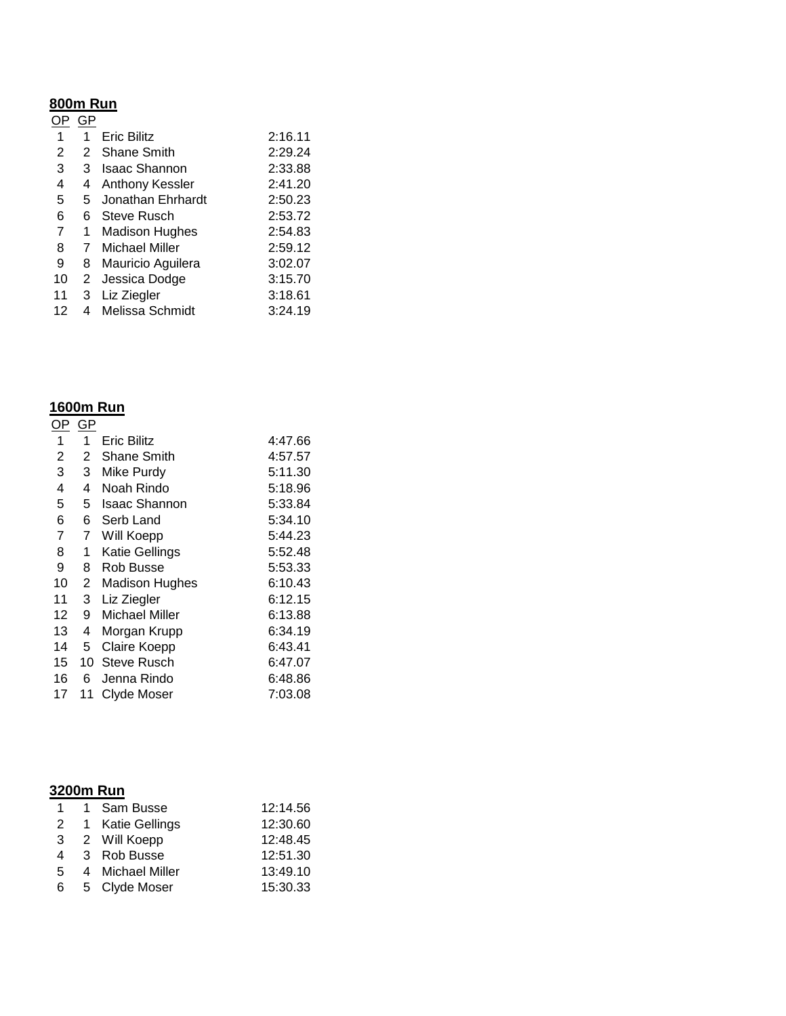## **800m Run**

|    |   | <b>Eric Bilitz</b>     | 2:16.11 |
|----|---|------------------------|---------|
| 2  | 2 | Shane Smith            | 2:29.24 |
| 3  | 3 | <b>Isaac Shannon</b>   | 2:33.88 |
| 4  | 4 | <b>Anthony Kessler</b> | 2:41.20 |
| 5  | 5 | Jonathan Ehrhardt      | 2:50.23 |
| 6  | 6 | Steve Rusch            | 2:53.72 |
| 7  | 1 | <b>Madison Hughes</b>  | 2:54.83 |
| 8  |   | <b>Michael Miller</b>  | 2:59.12 |
| 9  | 8 | Mauricio Aguilera      | 3:02.07 |
| 10 | 2 | Jessica Dodge          | 3:15.70 |
| 11 | 3 | Liz Ziegler            | 3:18.61 |
| 12 | 4 | Melissa Schmidt        | 3:24.19 |

### **1600m Run**

| OP.            | GP           |                       |         |
|----------------|--------------|-----------------------|---------|
| 1              | 1            | Eric Bilitz           | 4:47.66 |
| $\overline{2}$ | 2            | Shane Smith           | 4:57.57 |
| 3              | 3            | Mike Purdy            | 5:11.30 |
| 4              | 4            | Noah Rindo            | 5:18.96 |
| 5              | 5.           | Isaac Shannon         | 5:33.84 |
| 6              | 6            | Serb Land             | 5:34.10 |
| 7              | 7            | Will Koepp            | 5:44.23 |
| 8              | 1            | <b>Katie Gellings</b> | 5:52.48 |
| 9              | 8            | Rob Busse             | 5:53.33 |
| 10             | $\mathbf{2}$ | <b>Madison Hughes</b> | 6:10.43 |
| 11             | 3            | Liz Ziegler           | 6:12.15 |
| 12             | 9            | Michael Miller        | 6:13.88 |
| 13             | 4            | Morgan Krupp          | 6:34.19 |
| 14             | 5            | Claire Koepp          | 6:43.41 |
| 15             | 10           | Steve Rusch           | 6:47.07 |
| 16             | 6            | Jenna Rindo           | 6:48.86 |
| 17             | 11           | Clyde Moser           | 7:03.08 |

| 1. | 1 Sam Busse        | 12:14.56 |
|----|--------------------|----------|
|    | 2 1 Katie Gellings | 12:30.60 |
|    | 3 2 Will Koepp     | 12:48.45 |
|    | 4 3 Rob Busse      | 12:51.30 |
| 5  | 4 Michael Miller   | 13:49.10 |
| 6  | 5 Clyde Moser      | 15:30.33 |
|    |                    |          |